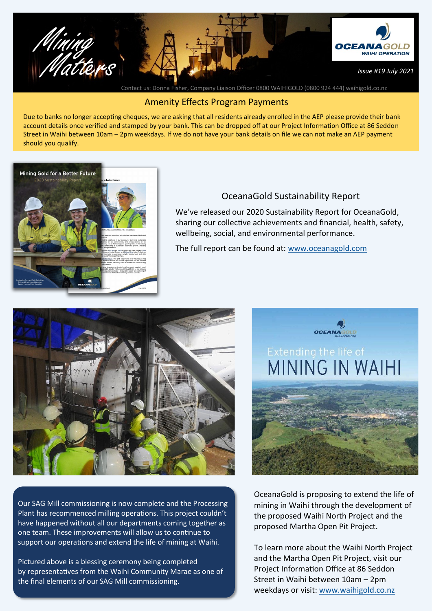

Contact us: Donna Fisher, Company Liaison Officer 0800 WAIHIGOLD (0800 924 444) waihigold.co.nz

## Amenity Effects Program Payments

Due to banks no longer accepting cheques, we are asking that all residents already enrolled in the AEP please provide their bank account details once verified and stamped by your bank. This can be dropped off at our Project Information Office at 86 Seddon Street in Waihi between 10am – 2pm weekdays. If we do not have your bank details on file we can not make an AEP payment should you qualify.



## OceanaGold Sustainability Report

We've released our 2020 Sustainability Report for OceanaGold, sharing our collective achievements and financial, health, safety, wellbeing, social, and environmental performance.

The full report can be found at: [www.oceanagold.com](https://oceanagold.com/)



Our SAG Mill commissioning is now complete and the Processing Plant has recommenced milling operations. This project couldn't have happened without all our departments coming together as one team. These improvements will allow us to continue to support our operations and extend the life of mining at Waihi.

Pictured above is a blessing ceremony being completed by representatives from the Waihi Community Marae as one of the final elements of our SAG Mill commissioning.



OceanaGold is proposing to extend the life of mining in Waihi through the development of the proposed Waihi North Project and the proposed Martha Open Pit Project.

To learn more about the Waihi North Project and the Martha Open Pit Project, visit our Project Information Office at 86 Seddon Street in Waihi between 10am – 2pm weekdays or visit: [www.waihigold.co.nz](http://www.waihigold.co.nz)